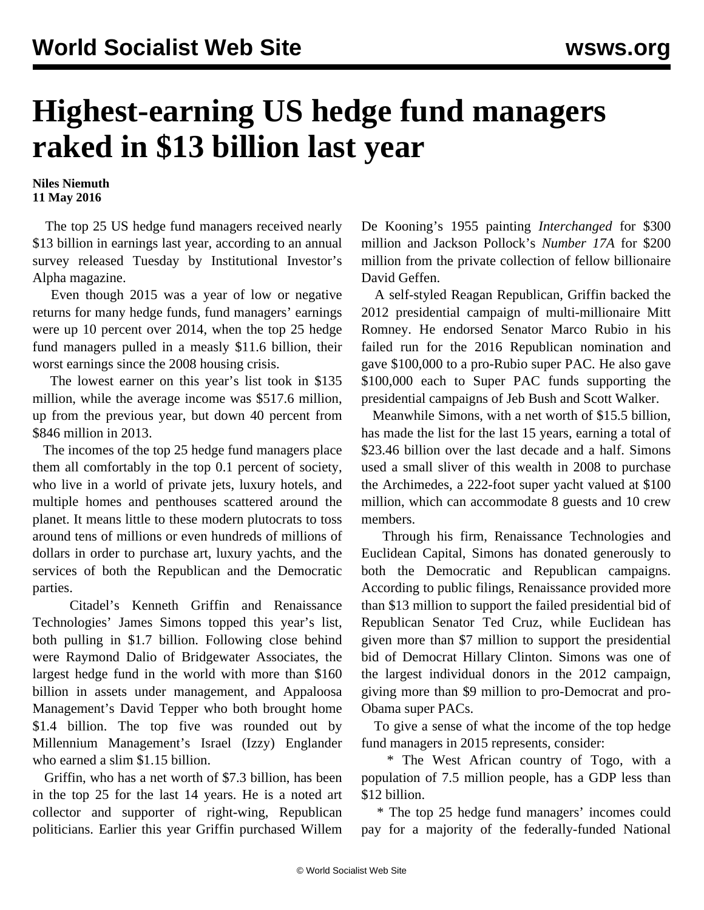## **Highest-earning US hedge fund managers raked in \$13 billion last year**

**Niles Niemuth 11 May 2016**

 The top 25 US hedge fund managers received nearly \$13 billion in earnings last year, according to an annual survey released Tuesday by Institutional Investor's Alpha magazine.

 Even though 2015 was a year of low or negative returns for many hedge funds, fund managers' earnings were up 10 percent over 2014, when the top 25 hedge fund managers pulled in a measly \$11.6 billion, their worst earnings since the 2008 housing crisis.

 The lowest earner on this year's list took in \$135 million, while the average income was \$517.6 million, up from the previous year, but down 40 percent from \$846 million in 2013.

 The incomes of the top 25 hedge fund managers place them all comfortably in the top 0.1 percent of society, who live in a world of private jets, luxury hotels, and multiple homes and penthouses scattered around the planet. It means little to these modern plutocrats to toss around tens of millions or even hundreds of millions of dollars in order to purchase art, luxury yachts, and the services of both the Republican and the Democratic parties.

 Citadel's Kenneth Griffin and Renaissance Technologies' James Simons topped this year's list, both pulling in \$1.7 billion. Following close behind were Raymond Dalio of Bridgewater Associates, the largest hedge fund in the world with more than \$160 billion in assets under management, and Appaloosa Management's David Tepper who both brought home \$1.4 billion. The top five was rounded out by Millennium Management's Israel (Izzy) Englander who earned a slim \$1.15 billion.

 Griffin, who has a net worth of \$7.3 billion, has been in the top 25 for the last 14 years. He is a noted art collector and supporter of right-wing, Republican politicians. Earlier this year Griffin purchased Willem De Kooning's 1955 painting *Interchanged* for \$300 million and Jackson Pollock's *Number 17A* for \$200 million from the private collection of fellow billionaire David Geffen.

 A self-styled Reagan Republican, Griffin backed the 2012 presidential campaign of multi-millionaire Mitt Romney. He endorsed Senator Marco Rubio in his failed run for the 2016 Republican nomination and gave \$100,000 to a pro-Rubio super PAC. He also gave \$100,000 each to Super PAC funds supporting the presidential campaigns of Jeb Bush and Scott Walker.

 Meanwhile Simons, with a net worth of \$15.5 billion, has made the list for the last 15 years, earning a total of \$23.46 billion over the last decade and a half. Simons used a small sliver of this wealth in 2008 to purchase the Archimedes, a 222-foot super yacht valued at \$100 million, which can accommodate 8 guests and 10 crew members.

 Through his firm, Renaissance Technologies and Euclidean Capital, Simons has donated generously to both the Democratic and Republican campaigns. According to public filings, Renaissance provided more than \$13 million to support the failed presidential bid of Republican Senator Ted Cruz, while Euclidean has given more than \$7 million to support the presidential bid of Democrat Hillary Clinton. Simons was one of the largest individual donors in the 2012 campaign, giving more than \$9 million to pro-Democrat and pro-Obama super PACs.

 To give a sense of what the income of the top hedge fund managers in 2015 represents, consider:

 \* The West African country of Togo, with a population of 7.5 million people, has a GDP less than \$12 billion.

 \* The top 25 hedge fund managers' incomes could pay for a majority of the federally-funded National